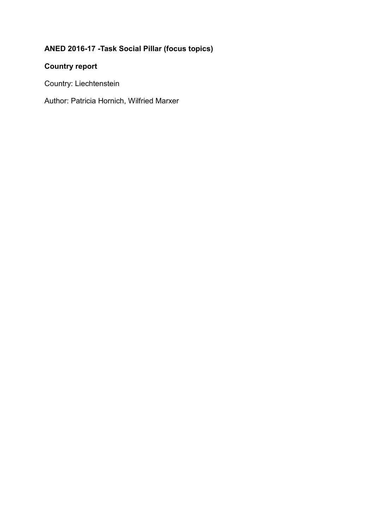# **ANED 2016-17 -Task Social Pillar (focus topics)**

## **Country report**

Country: Liechtenstein

Author: Patricia Hornich, Wilfried Marxer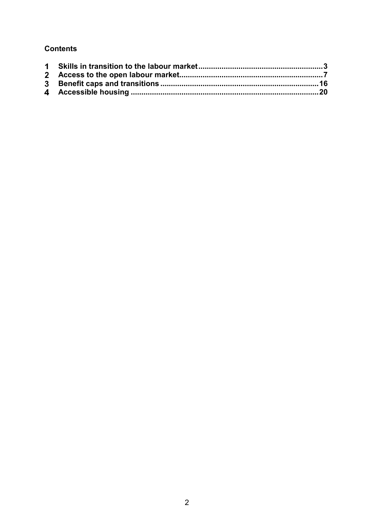## **Contents**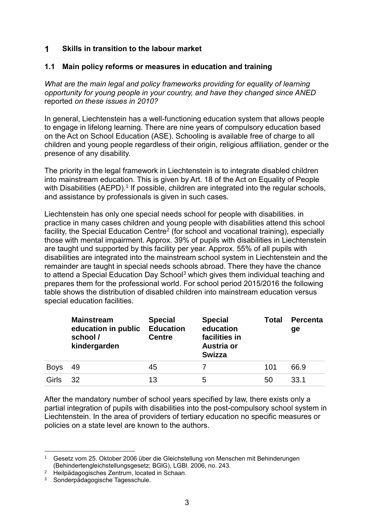#### <span id="page-2-0"></span> $\blacksquare$ **Skills in transition to the labour market**

#### **1.1 Main policy reforms or measures in education and training**

*What are the main legal and policy frameworks providing for equality of learning opportunity for young people in your country, and have they changed since ANED*  reported *on these issues in 2010?*

In general, Liechtenstein has a well-functioning education system that allows people to engage in lifelong learning. There are nine years of compulsory education based on the Act on School Education (ASE). Schooling is available free of charge to all children and young people regardless of their origin, religious affiliation, gender or the presence of any disability.

The priority in the legal framework in Liechtenstein is to integrate disabled children into mainstream education. This is given by Art. 18 of the Act on Equality of People with Disabilities (AEPD).<sup>1</sup> If possible, children are integrated into the regular schools, and assistance by professionals is given in such cases.

Liechtenstein has only one special needs school for people with disabilities. in practice in many cases children and young people with disabilities attend this school facility, the Special Education Centre<sup>2</sup> (for school and vocational training), especially those with mental impairment. Approx. 39% of pupils with disabilities in Liechtenstein are taught und supported by this facility per year. Approx. 55% of all pupils with disabilities are integrated into the mainstream school system in Liechtenstein and the remainder are taught in special needs schools abroad. There they have the chance to attend a Special Education Day School<sup>3</sup> which gives them individual teaching and prepares them for the professional world. For school period 2015/2016 the following table shows the distribution of disabled children into mainstream education versus special education facilities.

|             | <b>Mainstream</b><br>education in public<br>school /<br>kindergarden | <b>Special</b><br><b>Education</b><br><b>Centre</b> | <b>Special</b><br>education<br>facilities in<br>Austria or<br><b>Swizza</b> | <b>Total</b> | <b>Percenta</b><br>ge |
|-------------|----------------------------------------------------------------------|-----------------------------------------------------|-----------------------------------------------------------------------------|--------------|-----------------------|
| <b>Boys</b> | 49                                                                   | 45                                                  |                                                                             | 101          | 66.9                  |
| Girls       | 32.                                                                  | 13                                                  | 5                                                                           | 50           | 33.1                  |

After the mandatory number of school years specified by law, there exists only a partial integration of pupils with disabilities into the post-compulsory school system in Liechtenstein. In the area of providers of tertiary education no specific measures or policies on a state level are known to the authors.

**<sup>.</sup>** <sup>1</sup> Gesetz vom 25. Oktober 2006 über die Gleichstellung von Menschen mit Behinderungen (Behindertengleichstellungsgesetz; BGlG), LGBl. 2006, no. 243.

<sup>2</sup> Heilpädagogisches Zentrum, located in Schaan.

<sup>3</sup> Sonderpädagogische Tagesschule.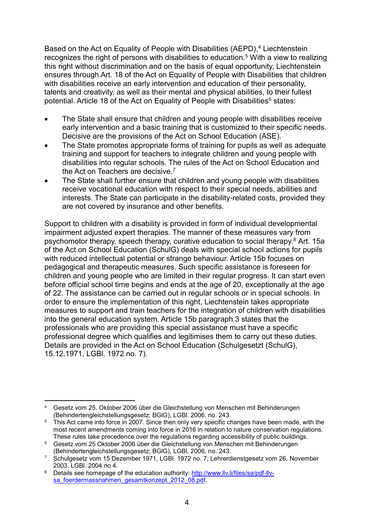Based on the Act on Equality of People with Disabilities (AEPD), <sup>4</sup> Liechtenstein recognizes the right of persons with disabilities to education.<sup>5</sup> With a view to realizing this right without discrimination and on the basis of equal opportunity, Liechtenstein ensures through Art. 18 of the Act on Equality of People with Disabilities that children with disabilities receive an early intervention and education of their personality, talents and creativity, as well as their mental and physical abilities, to their fullest potential. Article 18 of the Act on Equality of People with Disabilities<sup>6</sup> states:

- The State shall ensure that children and young people with disabilities receive early intervention and a basic training that is customized to their specific needs. Decisive are the provisions of the Act on School Education (ASE).
- The State promotes appropriate forms of training for pupils as well as adequate training and support for teachers to integrate children and young people with disabilities into regular schools. The rules of the Act on School Education and the Act on Teachers are decisive.<sup>7</sup>
- The State shall further ensure that children and young people with disabilities receive vocational education with respect to their special needs, abilities and interests. The State can participate in the disability-related costs, provided they are not covered by insurance and other benefits.

Support to children with a disability is provided in form of individual developmental impairment adjusted expert therapies. The manner of these measures vary from psychomotor therapy, speech therapy, curative education to social therapy.<sup>8</sup> Art. 15a of the Act on School Education (SchulG) deals with special school actions for pupils with reduced intellectual potential or strange behaviour. Article 15b focuses on pedagogical and therapeutic measures. Such specific assistance is foreseen for children and young people who are limited in their regular progress. It can start even before official school time begins and ends at the age of 20, exceptionally at the age of 22. The assistance can be carried out in regular schools or in special schools. In order to ensure the implementation of this right, Liechtenstein takes appropriate measures to support and train teachers for the integration of children with disabilities into the general education system. Article 15b paragraph 3 states that the professionals who are providing this special assistance must have a specific professional degree which qualifies and legitimises them to carry out these duties. Details are provided in the Act on School Education (Schulgesetzt (SchulG), 15.12.1971, LGBl. 1972 no. 7).

**<sup>.</sup>** <sup>4</sup> Gesetz vom 25. Oktober 2006 über die Gleichstellung von Menschen mit Behinderungen (Behindertengleichstellungsgesetz; BGlG), LGBl. 2006, no. 243.

<sup>&</sup>lt;sup>5</sup> This Act came into force in 2007. Since then only very specific changes have been made, with the most recent amendments coming into force in 2016 in relation to nature conservation regulations. These rules take precedence over the regulations regarding accessibility of public buildings.

<sup>6</sup> Gesetz vom 25 Oktober 2006 über die Gleichstellung von Menschen mit Behinderungen (Behindertengleichstellungsgesetz; BGlG), LGBl. 2006, no. 243.

<sup>7</sup> Schulgesetz vom 15 Dezember 1971, LGBl. 1972 no. 7; Lehrerdienstgesetz vom 26. November 2003, LGBl. 2004 no 4.

<sup>8</sup> Details see homepage of the education authority: [http://www.llv.li/files/sa/pdf-llv](http://www.llv.li/files/sa/pdf-llv-sa_foerdermassnahmen_gesamtkonzept_2012_08.pdf)sa foerdermassnahmen gesamtkonzept 2012 08.pdf.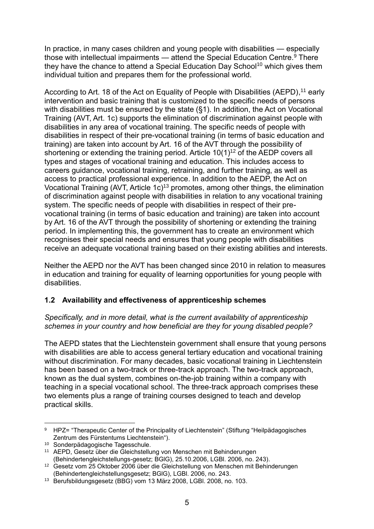In practice, in many cases children and young people with disabilities — especially those with intellectual impairments — attend the Special Education Centre.<sup>9</sup> There they have the chance to attend a Special Education Day School<sup>10</sup> which gives them individual tuition and prepares them for the professional world.

According to Art. 18 of the Act on Equality of People with Disabilities (AEPD),<sup>11</sup> early intervention and basic training that is customized to the specific needs of persons with disabilities must be ensured by the state (§1). In addition, the Act on Vocational Training (AVT, Art. 1c) supports the elimination of discrimination against people with disabilities in any area of vocational training. The specific needs of people with disabilities in respect of their pre-vocational training (in terms of basic education and training) are taken into account by Art. 16 of the AVT through the possibility of shortening or extending the training period. Article  $10(1)<sup>12</sup>$  of the AEDP covers all types and stages of vocational training and education. This includes access to careers guidance, vocational training, retraining, and further training, as well as access to practical professional experience. In addition to the AEDP, the Act on Vocational Training (AVT, Article 1c)<sup>13</sup> promotes, among other things, the elimination of discrimination against people with disabilities in relation to any vocational training system. The specific needs of people with disabilities in respect of their prevocational training (in terms of basic education and training) are taken into account by Art. 16 of the AVT through the possibility of shortening or extending the training period. In implementing this, the government has to create an environment which recognises their special needs and ensures that young people with disabilities receive an adequate vocational training based on their existing abilities and interests.

Neither the AEPD nor the AVT has been changed since 2010 in relation to measures in education and training for equality of learning opportunities for young people with disabilities.

## **1.2 Availability and effectiveness of apprenticeship schemes**

*Specifically, and in more detail, what is the current availability of apprenticeship schemes in your country and how beneficial are they for young disabled people?*

The AEPD states that the Liechtenstein government shall ensure that young persons with disabilities are able to access general tertiary education and vocational training without discrimination. For many decades, basic vocational training in Liechtenstein has been based on a two-track or three-track approach. The two-track approach, known as the dual system, combines on-the-job training within a company with teaching in a special vocational school. The three-track approach comprises these two elements plus a range of training courses designed to teach and develop practical skills.

**<sup>.</sup>** 9 HPZ= "Therapeutic Center of the Principality of Liechtenstein" (Stiftung "Heilpädagogisches Zentrum des Fürstentums Liechtenstein").

<sup>10</sup> Sonderpädagogische Tagesschule.

<sup>11</sup> AEPD, Gesetz über die Gleichstellung von Menschen mit Behinderungen (Behindertengleichstellungs-gesetz; BGlG), 25.10.2006, LGBl. 2006, no. 243).

<sup>12</sup> Gesetz vom 25 Oktober 2006 über die Gleichstellung von Menschen mit Behinderungen (Behindertengleichstellungsgesetz; BGlG), LGBl. 2006, no. 243.

<sup>13</sup> Berufsbildungsgesetz (BBG) vom 13 März 2008, LGBl. 2008, no. 103.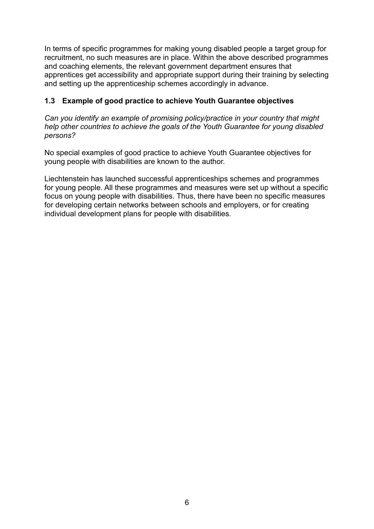In terms of specific programmes for making young disabled people a target group for recruitment, no such measures are in place. Within the above described programmes and coaching elements, the relevant government department ensures that apprentices get accessibility and appropriate support during their training by selecting and setting up the apprenticeship schemes accordingly in advance.

### **1.3 Example of good practice to achieve Youth Guarantee objectives**

*Can you identify an example of promising policy/practice in your country that might help other countries to achieve the goals of the Youth Guarantee for young disabled persons?*

No special examples of good practice to achieve Youth Guarantee objectives for young people with disabilities are known to the author.

Liechtenstein has launched successful apprenticeships schemes and programmes for young people. All these programmes and measures were set up without a specific focus on young people with disabilities. Thus, there have been no specific measures for developing certain networks between schools and employers, or for creating individual development plans for people with disabilities.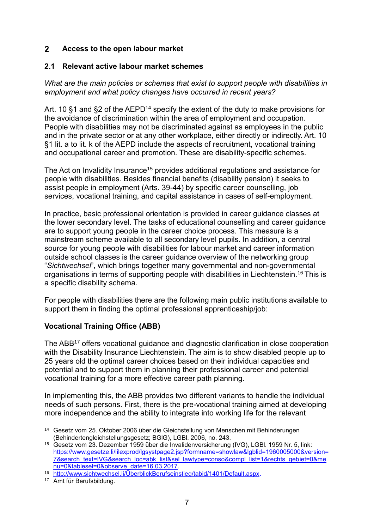#### <span id="page-6-0"></span> $2<sup>1</sup>$ **Access to the open labour market**

#### **2.1 Relevant active labour market schemes**

*What are the main policies or schemes that exist to support people with disabilities in employment and what policy changes have occurred in recent years?*

Art. 10 §1 and §2 of the AEPD<sup>14</sup> specify the extent of the duty to make provisions for the avoidance of discrimination within the area of employment and occupation. People with disabilities may not be discriminated against as employees in the public and in the private sector or at any other workplace, either directly or indirectly. Art. 10 §1 lit. a to lit. k of the AEPD include the aspects of recruitment, vocational training and occupational career and promotion. These are disability-specific schemes.

The Act on Invalidity Insurance<sup>15</sup> provides additional regulations and assistance for people with disabilities. Besides financial benefits (disability pension) it seeks to assist people in employment (Arts. 39-44) by specific career counselling, job services, vocational training, and capital assistance in cases of self-employment.

In practice, basic professional orientation is provided in career guidance classes at the lower secondary level. The tasks of educational counselling and career guidance are to support young people in the career choice process. This measure is a mainstream scheme available to all secondary level pupils. In addition, a central source for young people with disabilities for labour market and career information outside school classes is the career guidance overview of the networking group "*Sichtwechsel*", which brings together many governmental and non-governmental organisations in terms of supporting people with disabilities in Liechtenstein.<sup>16</sup> This is a specific disability schema.

For people with disabilities there are the following main public institutions available to support them in finding the optimal professional apprenticeship/job:

## **Vocational Training Office (ABB)**

The ABB<sup>17</sup> offers vocational guidance and diagnostic clarification in close cooperation with the Disability Insurance Liechtenstein. The aim is to show disabled people up to 25 years old the optimal career choices based on their individual capacities and potential and to support them in planning their professional career and potential vocational training for a more effective career path planning.

In implementing this, the ABB provides two different variants to handle the individual needs of such persons. First, there is the pre-vocational training aimed at developing more independence and the ability to integrate into working life for the relevant

**<sup>.</sup>** <sup>14</sup> Gesetz vom 25. Oktober 2006 über die Gleichstellung von Menschen mit Behinderungen (Behindertengleichstellungsgesetz; BGlG), LGBl. 2006, no. 243.

<sup>15</sup> Gesetz vom 23. Dezember 1959 über die Invalidenversicherung (IVG), LGBl. 1959 Nr. 5, link: [https://www.gesetze.li/lilexprod/lgsystpage2.jsp?formname=showlaw&lgblid=1960005000&version=](https://www.gesetze.li/lilexprod/lgsystpage2.jsp?formname=showlaw&lgblid=1960005000&version=7&search_text=IVG&search_loc=abk_list&sel_lawtype=conso&compl_list=1&rechts_gebiet=0&menu=0&tablesel=0&observe_date=16.03.2017) [7&search\\_text=IVG&search\\_loc=abk\\_list&sel\\_lawtype=conso&compl\\_list=1&rechts\\_gebiet=0&me](https://www.gesetze.li/lilexprod/lgsystpage2.jsp?formname=showlaw&lgblid=1960005000&version=7&search_text=IVG&search_loc=abk_list&sel_lawtype=conso&compl_list=1&rechts_gebiet=0&menu=0&tablesel=0&observe_date=16.03.2017) [nu=0&tablesel=0&observe\\_date=16.03.2017.](https://www.gesetze.li/lilexprod/lgsystpage2.jsp?formname=showlaw&lgblid=1960005000&version=7&search_text=IVG&search_loc=abk_list&sel_lawtype=conso&compl_list=1&rechts_gebiet=0&menu=0&tablesel=0&observe_date=16.03.2017)

<sup>16</sup> [http://www.sichtwechsel.li/ÜberblickBerufseinstieg/tabid/1401/Default.aspx.](http://www.sichtwechsel.li/ÜberblickBerufseinstieg/tabid/1401/Default.aspx)

<sup>17</sup> Amt für Berufsbildung.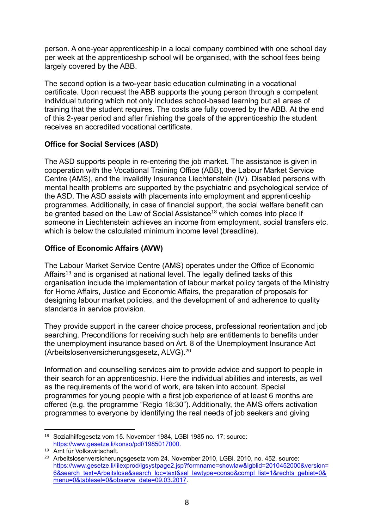person. A one-year apprenticeship in a local company combined with one school day per week at the apprenticeship school will be organised, with the school fees being largely covered by the ABB.

The second option is a two-year basic education culminating in a vocational certificate. Upon request the ABB supports the young person through a competent individual tutoring which not only includes school-based learning but all areas of training that the student requires. The costs are fully covered by the ABB. At the end of this 2-year period and after finishing the goals of the apprenticeship the student receives an accredited vocational certificate.

### **Office for Social Services (ASD)**

The ASD supports people in re-entering the job market. The assistance is given in cooperation with the Vocational Training Office (ABB), the Labour Market Service Centre (AMS), and the Invalidity Insurance Liechtenstein (IV). Disabled persons with mental health problems are supported by the psychiatric and psychological service of the ASD. The ASD assists with placements into employment and apprenticeship programmes. Additionally, in case of financial support, the social welfare benefit can be granted based on the Law of Social Assistance<sup>18</sup> which comes into place if someone in Liechtenstein achieves an income from employment, social transfers etc. which is below the calculated minimum income level (breadline).

### **Office of Economic Affairs (AVW)**

The Labour Market Service Centre (AMS) operates under the Office of Economic Affairs<sup>19</sup> and is organised at national level. The legally defined tasks of this organisation include the implementation of labour market policy targets of the Ministry for Home Affairs, Justice and Economic Affairs, the preparation of proposals for designing labour market policies, and the development of and adherence to quality standards in service provision.

They provide support in the career choice process, professional reorientation and job searching. Preconditions for receiving such help are entitlements to benefits under the unemployment insurance based on Art. 8 of the Unemployment Insurance Act (Arbeitslosenversicherungsgesetz, ALVG).<sup>20</sup>

Information and counselling services aim to provide advice and support to people in their search for an apprenticeship. Here the individual abilities and interests, as well as the requirements of the world of work, are taken into account. Special programmes for young people with a first job experience of at least 6 months are offered (e.g. the programme "Regio 18:30"). Additionally, the AMS offers activation programmes to everyone by identifying the real needs of job seekers and giving

**<sup>.</sup>** <sup>18</sup> Sozialhilfegesetz vom 15. November 1984, LGBl 1985 no. 17; source: [https://www.gesetze.li/konso/pdf/1985017000.](https://www.gesetze.li/konso/pdf/1985017000)

<sup>19</sup> Amt für Volkswirtschaft.

<sup>&</sup>lt;sup>20</sup> Arbeitslosenversicherungsgesetz vom 24. November 2010, LGBI. 2010, no. 452, source: [https://www.gesetze.li/lilexprod/lgsystpage2.jsp?formname=showlaw&lgblid=2010452000&version=](https://www.gesetze.li/lilexprod/lgsystpage2.jsp?formname=showlaw&lgblid=2010452000&version=6&search_text=Arbeitslose&search_loc=text&sel_lawtype=conso&compl_list=1&rechts_gebiet=0&menu=0&tablesel=0&observe_date=09.03.2017) [6&search\\_text=Arbeitslose&search\\_loc=text&sel\\_lawtype=conso&compl\\_list=1&rechts\\_gebiet=0&](https://www.gesetze.li/lilexprod/lgsystpage2.jsp?formname=showlaw&lgblid=2010452000&version=6&search_text=Arbeitslose&search_loc=text&sel_lawtype=conso&compl_list=1&rechts_gebiet=0&menu=0&tablesel=0&observe_date=09.03.2017) [menu=0&tablesel=0&observe\\_date=09.03.2017.](https://www.gesetze.li/lilexprod/lgsystpage2.jsp?formname=showlaw&lgblid=2010452000&version=6&search_text=Arbeitslose&search_loc=text&sel_lawtype=conso&compl_list=1&rechts_gebiet=0&menu=0&tablesel=0&observe_date=09.03.2017)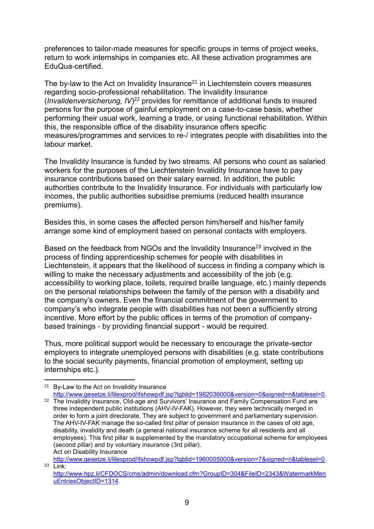preferences to tailor-made measures for specific groups in terms of project weeks, return to work internships in companies etc. All these activation programmes are EduQua-certified.

The by-law to the Act on Invalidity Insurance<sup>21</sup> in Liechtenstein covers measures regarding socio-professional rehabilitation. The Invalidity Insurance (*Invalidenversicherung, IV*) <sup>22</sup> provides for remittance of additional funds to insured persons for the purpose of gainful employment on a case-to-case basis, whether performing their usual work, learning a trade, or using functional rehabilitation. Within this, the responsible office of the disability insurance offers specific measures/programmes and services to re-/ integrates people with disabilities into the labour market.

The Invalidity Insurance is funded by two streams. All persons who count as salaried workers for the purposes of the Liechtenstein Invalidity Insurance have to pay insurance contributions based on their salary earned. In addition, the public authorities contribute to the Invalidity Insurance. For individuals with particularly low incomes, the public authorities subsidise premiums (reduced health insurance premiums).

Besides this, in some cases the affected person him/herself and his/her family arrange some kind of employment based on personal contacts with employers.

Based on the feedback from NGOs and the Invalidity Insurance<sup>23</sup> involved in the process of finding apprenticeship schemes for people with disabilities in Liechtenstein, it appears that the likelihood of success in finding a company which is willing to make the necessary adjustments and accessibility of the job (e.g. accessibility to working place, toilets, required braille language, etc.) mainly depends on the personal relationships between the family of the person with a disability and the company's owners. Even the financial commitment of the government to company's who integrate people with disabilities has not been a sufficiently strong incentive. More effort by the public offices in terms of the promotion of companybased trainings - by providing financial support - would be required.

Thus, more political support would be necessary to encourage the private-sector employers to integrate unemployed persons with disabilities (e.g. state contributions to the social security payments, financial promotion of employment, setting up internships etc.).

[http://www.gesetze.li/lilexprod/ifshowpdf.jsp?lgblid=1960005000&version=7&signed=n&tablesel=0.](http://www.gesetze.li/lilexprod/ifshowpdf.jsp?lgblid=1960005000&version=7&signed=n&tablesel=0)  $23$  Link:

**<sup>.</sup>** <sup>21</sup> By-Law to the Act on Invalidity Insurance

[http://www.gesetze.li/lilexprod/ifshowpdf.jsp?lgblid=1982036000&version=0&signed=n&tablesel=0.](http://www.gesetze.li/lilexprod/ifshowpdf.jsp?lgblid=1982036000&version=0&signed=n&tablesel=0)

<sup>&</sup>lt;sup>22</sup> The Invalidity Insurance, Old-age and Survivors' Insurance and Family Compensation Fund are three independent public institutions (AHV-IV-FAK). However, they were technically merged in order to form a joint directorate. They are subject to government and parliamentary supervision. The AHV-IV-FAK manage the so-called first pillar of pension insurance in the cases of old age, disability, invalidity and death (a general national insurance scheme for all residents and all employees). This first pillar is supplemented by the mandatory occupational scheme for employees (second pillar) and by voluntary insurance (3rd pillar). Act on Disability Insurance

[http://www.hpz.li/CFDOCS/cms/admin/download.cfm?GroupID=304&FileID=2343&WatermarkMen](http://www.hpz.li/CFDOCS/cms/admin/download.cfm?GroupID=304&FileID=2343&WatermarkMenuEntriesObjectID=1314) [uEntriesObjectID=1314.](http://www.hpz.li/CFDOCS/cms/admin/download.cfm?GroupID=304&FileID=2343&WatermarkMenuEntriesObjectID=1314)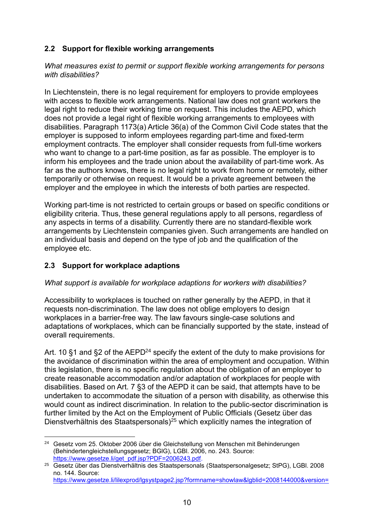## **2.2 Support for flexible working arrangements**

*What measures exist to permit or support flexible working arrangements for persons with disabilities?*

In Liechtenstein, there is no legal requirement for employers to provide employees with access to flexible work arrangements. National law does not grant workers the legal right to reduce their working time on request. This includes the AEPD, which does not provide a legal right of flexible working arrangements to employees with disabilities. Paragraph 1173(a) Article 36(a) of the Common Civil Code states that the employer is supposed to inform employees regarding part-time and fixed-term employment contracts. The employer shall consider requests from full-time workers who want to change to a part-time position, as far as possible. The employer is to inform his employees and the trade union about the availability of part-time work. As far as the authors knows, there is no legal right to work from home or remotely, either temporarily or otherwise on request. It would be a private agreement between the employer and the employee in which the interests of both parties are respected.

Working part-time is not restricted to certain groups or based on specific conditions or eligibility criteria. Thus, these general regulations apply to all persons, regardless of any aspects in terms of a disability. Currently there are no standard-flexible work arrangements by Liechtenstein companies given. Such arrangements are handled on an individual basis and depend on the type of job and the qualification of the employee etc.

#### **2.3 Support for workplace adaptions**

#### *What support is available for workplace adaptions for workers with disabilities?*

Accessibility to workplaces is touched on rather generally by the AEPD, in that it requests non-discrimination. The law does not oblige employers to design workplaces in a barrier-free way. The law favours single-case solutions and adaptations of workplaces, which can be financially supported by the state, instead of overall requirements.

Art. 10 §1 and §2 of the AEPD<sup>24</sup> specify the extent of the duty to make provisions for the avoidance of discrimination within the area of employment and occupation. Within this legislation, there is no specific regulation about the obligation of an employer to create reasonable accommodation and/or adaptation of workplaces for people with disabilities. Based on Art. 7 §3 of the AEPD it can be said, that attempts have to be undertaken to accommodate the situation of a person with disability, as otherwise this would count as indirect discrimination. In relation to the public-sector discrimination is further limited by the Act on the Employment of Public Officials (Gesetz über das Dienstverhältnis des Staatspersonals)<sup>25</sup> which explicitly names the integration of

**<sup>.</sup>** <sup>24</sup> Gesetz vom 25. Oktober 2006 über die Gleichstellung von Menschen mit Behinderungen (Behindertengleichstellungsgesetz; BGlG), LGBl. 2006, no. 243. Source: [https://www.gesetze.li/get\\_pdf.jsp?PDF=2006243.pdf.](https://www.gesetze.li/get_pdf.jsp?PDF=2006243.pdf)

<sup>25</sup> Gesetz über das Dienstverhältnis des Staatspersonals (Staatspersonalgesetz; StPG), LGBl. 2008 no. 144. Source: [https://www.gesetze.li/lilexprod/lgsystpage2.jsp?formname=showlaw&lgblid=2008144000&version=](https://www.gesetze.li/lilexprod/lgsystpage2.jsp?formname=showlaw&lgblid=2008144000&version=7&search_text=Staatspersonalgesetz&search_loc=text&sel_lawtype=conso&compl_list=1&rechts_gebiet=0&menu=0&tablesel=0&observe_date=22.06.2017)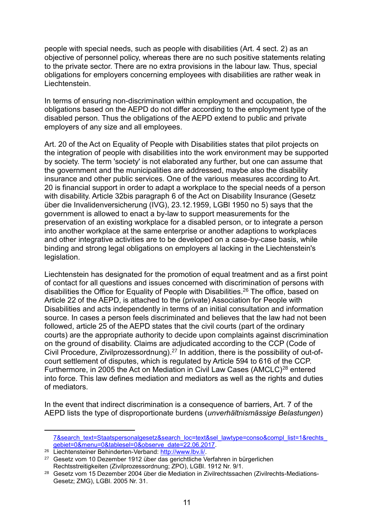people with special needs, such as people with disabilities (Art. 4 sect. 2) as an objective of personnel policy, whereas there are no such positive statements relating to the private sector. There are no extra provisions in the labour law. Thus, special obligations for employers concerning employees with disabilities are rather weak in Liechtenstein.

In terms of ensuring non-discrimination within employment and occupation, the obligations based on the AEPD do not differ according to the employment type of the disabled person. Thus the obligations of the AEPD extend to public and private employers of any size and all employees.

Art. 20 of the Act on Equality of People with Disabilities states that pilot projects on the integration of people with disabilities into the work environment may be supported by society. The term 'society' is not elaborated any further, but one can assume that the government and the municipalities are addressed, maybe also the disability insurance and other public services. One of the various measures according to Art. 20 is financial support in order to adapt a workplace to the special needs of a person with disability. Article 32bis paragraph 6 of the Act on Disability Insurance (Gesetz über die Invalidenversicherung (IVG), 23.12.1959, LGBl 1950 no 5) says that the government is allowed to enact a by-law to support measurements for the preservation of an existing workplace for a disabled person, or to integrate a person into another workplace at the same enterprise or another adaptions to workplaces and other integrative activities are to be developed on a case-by-case basis, while binding and strong legal obligations on employers al lacking in the Liechtenstein's legislation.

Liechtenstein has designated for the promotion of equal treatment and as a first point of contact for all questions and issues concerned with discrimination of persons with disabilities the Office for Equality of People with Disabilities. <sup>26</sup> The office, based on Article 22 of the AEPD, is attached to the (private) Association for People with Disabilities and acts independently in terms of an initial consultation and information source. In cases a person feels discriminated and believes that the law had not been followed, article 25 of the AEPD states that the civil courts (part of the ordinary courts) are the appropriate authority to decide upon complaints against discrimination on the ground of disability. Claims are adjudicated according to the CCP (Code of Civil Procedure, Zivilprozessordnung). <sup>27</sup> In addition, there is the possibility of out-ofcourt settlement of disputes, which is regulated by Article 594 to 616 of the CCP. Furthermore, in 2005 the Act on Mediation in Civil Law Cases (AMCLC)<sup>28</sup> entered into force. This law defines mediation and mediators as well as the rights and duties of mediators.

In the event that indirect discrimination is a consequence of barriers, Art. 7 of the AEPD lists the type of disproportionate burdens (*unverhältnismässige Belastungen*)

<u>.</u>

<sup>7&</sup>amp;search\_text=Staatspersonalgesetz&search\_loc=text&sel\_lawtype=conso&compl\_list=1&rechts [gebiet=0&menu=0&tablesel=0&observe\\_date=22.06.2017.](https://www.gesetze.li/lilexprod/lgsystpage2.jsp?formname=showlaw&lgblid=2008144000&version=7&search_text=Staatspersonalgesetz&search_loc=text&sel_lawtype=conso&compl_list=1&rechts_gebiet=0&menu=0&tablesel=0&observe_date=22.06.2017)

<sup>26</sup> Liechtensteiner Behinderten-Verband: [http://www.lbv.li/.](http://www.lbv.li/)

<sup>27</sup> Gesetz vom 10 Dezember 1912 über das gerichtliche Verfahren in bürgerlichen Rechtsstreitigkeiten (Zivilprozessordnung; ZPO), LGBl. 1912 Nr. 9/1.

<sup>&</sup>lt;sup>28</sup> Gesetz vom 15 Dezember 2004 über die Mediation in Zivilrechtssachen (Zivilrechts-Mediations-Gesetz; ZMG), LGBl. 2005 Nr. 31.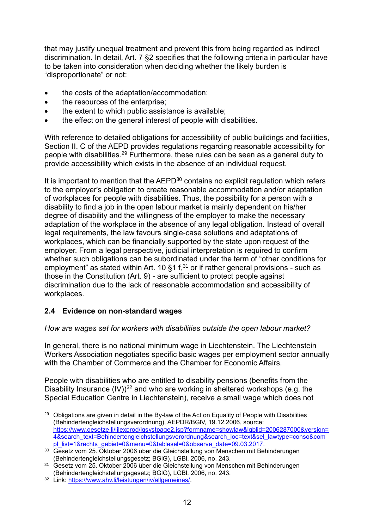that may justify unequal treatment and prevent this from being regarded as indirect discrimination. In detail, Art. 7 §2 specifies that the following criteria in particular have to be taken into consideration when deciding whether the likely burden is "disproportionate" or not:

- the costs of the adaptation/accommodation;
- the resources of the enterprise;
- the extent to which public assistance is available;
- the effect on the general interest of people with disabilities.

With reference to detailed obligations for accessibility of public buildings and facilities, Section II. C of the AEPD provides regulations regarding reasonable accessibility for people with disabilities.<sup>29</sup> Furthermore, these rules can be seen as a general duty to provide accessibility which exists in the absence of an individual request.

It is important to mention that the  $AEPD<sup>30</sup>$  contains no explicit regulation which refers to the employer's obligation to create reasonable accommodation and/or adaptation of workplaces for people with disabilities. Thus, the possibility for a person with a disability to find a job in the open labour market is mainly dependent on his/her degree of disability and the willingness of the employer to make the necessary adaptation of the workplace in the absence of any legal obligation. Instead of overall legal requirements, the law favours single-case solutions and adaptations of workplaces, which can be financially supported by the state upon request of the employer. From a legal perspective, judicial interpretation is required to confirm whether such obligations can be subordinated under the term of "other conditions for employment" as stated within Art. 10  $\S1$  f,<sup>31</sup> or if rather general provisions - such as those in the Constitution (Art. 9) - are sufficient to protect people against discrimination due to the lack of reasonable accommodation and accessibility of workplaces.

## **2.4 Evidence on non-standard wages**

#### *How are wages set for workers with disabilities outside the open labour market?*

In general, there is no national minimum wage in Liechtenstein. The Liechtenstein Workers Association negotiates specific basic wages per employment sector annually with the Chamber of Commerce and the Chamber for Economic Affairs.

People with disabilities who are entitled to disability pensions (benefits from the Disability Insurance  $(IV)$ <sup>32</sup> and who are working in sheltered workshops (e.g. the Special Education Centre in Liechtenstein), receive a small wage which does not

**<sup>.</sup>** <sup>29</sup> Obligations are given in detail in the By-law of the Act on Equality of People with Disabilities (Behindertengleichstellungsverordnung), AEPDR/BGlV, 19.12.2006, source: [https://www.gesetze.li/lilexprod/lgsystpage2.jsp?formname=showlaw&lgblid=2006287000&version=](https://www.gesetze.li/lilexprod/lgsystpage2.jsp?formname=showlaw&lgblid=2006287000&version=4&search_text=Behindertengleichstellungsverordnung&search_loc=text&sel_lawtype=conso&compl_list=1&rechts_gebiet=0&menu=0&tablesel=0&observe_date=09.03.2017) [4&search\\_text=Behindertengleichstellungsverordnung&search\\_loc=text&sel\\_lawtype=conso&com](https://www.gesetze.li/lilexprod/lgsystpage2.jsp?formname=showlaw&lgblid=2006287000&version=4&search_text=Behindertengleichstellungsverordnung&search_loc=text&sel_lawtype=conso&compl_list=1&rechts_gebiet=0&menu=0&tablesel=0&observe_date=09.03.2017) [pl\\_list=1&rechts\\_gebiet=0&menu=0&tablesel=0&observe\\_date=09.03.2017.](https://www.gesetze.li/lilexprod/lgsystpage2.jsp?formname=showlaw&lgblid=2006287000&version=4&search_text=Behindertengleichstellungsverordnung&search_loc=text&sel_lawtype=conso&compl_list=1&rechts_gebiet=0&menu=0&tablesel=0&observe_date=09.03.2017)

<sup>30</sup> Gesetz vom 25. Oktober 2006 über die Gleichstellung von Menschen mit Behinderungen (Behindertengleichstellungsgesetz; BGlG), LGBl. 2006, no. 243.

<sup>31</sup> Gesetz vom 25. Oktober 2006 über die Gleichstellung von Menschen mit Behinderungen (Behindertengleichstellungsgesetz; BGlG), LGBl. 2006, no. 243.

<sup>32</sup> Link: [https://www.ahv.li/leistungen/iv/allgemeines/.](https://www.ahv.li/leistungen/iv/allgemeines/)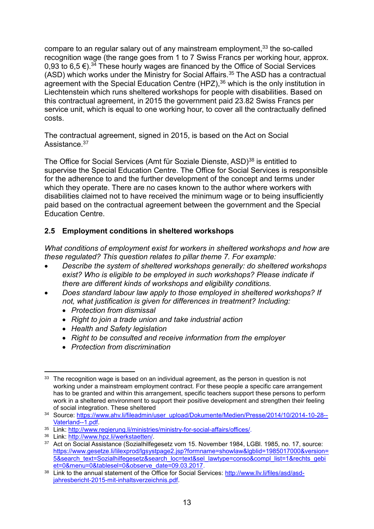compare to an regular salary out of any mainstream employment, <sup>33</sup> the so-called recognition wage (the range goes from 1 to 7 Swiss Francs per working hour, approx. 0.93 to 6.5 €).<sup>34</sup> These hourly wages are financed by the Office of Social Services (ASD) which works under the Ministry for Social Affairs.<sup>35</sup> The ASD has a contractual agreement with the Special Education Centre (HPZ),<sup>36</sup> which is the only institution in Liechtenstein which runs sheltered workshops for people with disabilities. Based on this contractual agreement, in 2015 the government paid 23.82 Swiss Francs per service unit, which is equal to one working hour, to cover all the contractually defined costs.

The contractual agreement, signed in 2015, is based on the Act on Social Assistance.<sup>37</sup>

The Office for Social Services (Amt für Soziale Dienste, ASD)<sup>38</sup> is entitled to supervise the Special Education Centre. The Office for Social Services is responsible for the adherence to and the further development of the concept and terms under which they operate. There are no cases known to the author where workers with disabilities claimed not to have received the minimum wage or to being insufficiently paid based on the contractual agreement between the government and the Special Education Centre.

## **2.5 Employment conditions in sheltered workshops**

*What conditions of employment exist for workers in sheltered workshops and how are these regulated? This question relates to pillar theme 7. For example:* 

- *Describe the system of sheltered workshops generally: do sheltered workshops*  exist? Who is eligible to be employed in such workshops? Please indicate if *there are different kinds of workshops and eligibility conditions.*
- *Does standard labour law apply to those employed in sheltered workshops? If not, what justification is given for differences in treatment? Including:*
	- *Protection from dismissal*
	- *Right to join a trade union and take industrial action*
	- *Health and Safety legislation*
	- *Right to be consulted and receive information from the employer*
	- *Protection from discrimination*

**<sup>.</sup>**  $33$  The recognition wage is based on an individual agreement, as the person in question is not working under a mainstream employment contract. For these people a specific care arrangement has to be granted and within this arrangement, specific teachers support these persons to perform work in a sheltered environment to support their positive development and strengthen their feeling of social integration. These sheltered

<sup>34</sup> Source: [https://www.ahv.li/fileadmin/user\\_upload/Dokumente/Medien/Presse/2014/10/2014-10-28--](https://www.ahv.li/fileadmin/user_upload/Dokumente/Medien/Presse/2014/10/2014-10-28--Vaterland--1.pdf) [Vaterland--1.pdf.](https://www.ahv.li/fileadmin/user_upload/Dokumente/Medien/Presse/2014/10/2014-10-28--Vaterland--1.pdf)

<sup>35</sup> Link: [http://www.regierung.li/ministries/ministry-for-social-affairs/offices/.](http://www.regierung.li/ministries/ministry-for-social-affairs/offices/)

<sup>36</sup> Link: [http://www.hpz.li/werkstaetten/.](http://www.hpz.li/werkstaetten/)

<sup>37</sup> Act on Social Assistance (Sozialhilfegesetz vom 15. November 1984, LGBI. 1985, no. 17, source: [https://www.gesetze.li/lilexprod/lgsystpage2.jsp?formname=showlaw&lgblid=1985017000&version=](https://www.gesetze.li/lilexprod/lgsystpage2.jsp?formname=showlaw&lgblid=1985017000&version=5&search_text=Sozialhilfegesetz&search_loc=text&sel_lawtype=conso&compl_list=1&rechts_gebiet=0&menu=0&tablesel=0&observe_date=09.03.2017) [5&search\\_text=Sozialhilfegesetz&search\\_loc=text&sel\\_lawtype=conso&compl\\_list=1&rechts\\_gebi](https://www.gesetze.li/lilexprod/lgsystpage2.jsp?formname=showlaw&lgblid=1985017000&version=5&search_text=Sozialhilfegesetz&search_loc=text&sel_lawtype=conso&compl_list=1&rechts_gebiet=0&menu=0&tablesel=0&observe_date=09.03.2017) [et=0&menu=0&tablesel=0&observe\\_date=09.03.2017.](https://www.gesetze.li/lilexprod/lgsystpage2.jsp?formname=showlaw&lgblid=1985017000&version=5&search_text=Sozialhilfegesetz&search_loc=text&sel_lawtype=conso&compl_list=1&rechts_gebiet=0&menu=0&tablesel=0&observe_date=09.03.2017)

<sup>38</sup> Link to the annual statement of the Office for Social Services: [http://www.llv.li/files/asd/asd](http://www.llv.li/files/asd/asd-jahresbericht-2015-mit-inhaltsverzeichnis.pdf)[jahresbericht-2015-mit-inhaltsverzeichnis.pdf.](http://www.llv.li/files/asd/asd-jahresbericht-2015-mit-inhaltsverzeichnis.pdf)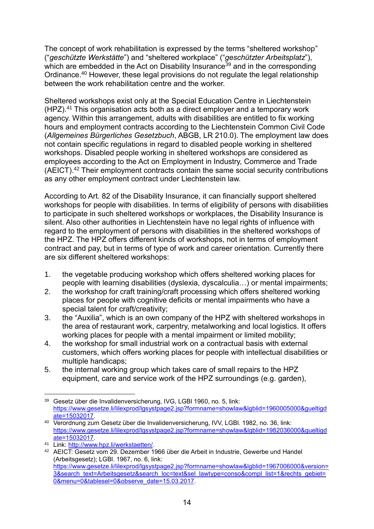The concept of work rehabilitation is expressed by the terms "sheltered workshop" ("*geschützte Werkstätte*") and "sheltered workplace" ("*geschützter Arbeitsplatz*"), which are embedded in the Act on Disability Insurance<sup>39</sup> and in the corresponding Ordinance. <sup>40</sup> However, these legal provisions do not regulate the legal relationship between the work rehabilitation centre and the worker.

Sheltered workshops exist only at the Special Education Centre in Liechtenstein (HPZ). <sup>41</sup> This organisation acts both as a direct employer and a temporary work agency. Within this arrangement, adults with disabilities are entitled to fix working hours and employment contracts according to the Liechtenstein Common Civil Code (*Allgemeines Bürgerliches Gesetzbuch*, ABGB, LR 210.0). The employment law does not contain specific regulations in regard to disabled people working in sheltered workshops. Disabled people working in sheltered workshops are considered as employees according to the Act on Employment in Industry, Commerce and Trade (AEICT). <sup>42</sup> Their employment contracts contain the same social security contributions as any other employment contract under Liechtenstein law.

According to Art. 82 of the Disability Insurance, it can financially support sheltered workshops for people with disabilities. In terms of eligibility of persons with disabilities to participate in such sheltered workshops or workplaces, the Disability Insurance is silent. Also other authorities in Liechtenstein have no legal rights of influence with regard to the employment of persons with disabilities in the sheltered workshops of the HPZ. The HPZ offers different kinds of workshops, not in terms of employment contract and pay, but in terms of type of work and career orientation. Currently there are six different sheltered workshops:

- 1. the vegetable producing workshop which offers sheltered working places for people with learning disabilities (dyslexia, dyscalculia…) or mental impairments;
- 2. the workshop for craft training/craft processing which offers sheltered working places for people with cognitive deficits or mental impairments who have a special talent for craft/creativity;
- 3. the "Auxilia", which is an own company of the HPZ with sheltered workshops in the area of restaurant work, carpentry, metalworking and local logistics. It offers working places for people with a mental impairment or limited mobility;
- 4. the workshop for small industrial work on a contractual basis with external customers, which offers working places for people with intellectual disabilities or multiple handicaps;
- 5. the internal working group which takes care of small repairs to the HPZ equipment, care and service work of the HPZ surroundings (e.g. garden),

**<sup>.</sup>** <sup>39</sup> Gesetz über die Invalidenversicherung, IVG, LGBl 1960, no. 5, link: [https://www.gesetze.li/lilexprod/lgsystpage2.jsp?formname=showlaw&lgblid=1960005000&gueltigd](https://www.gesetze.li/lilexprod/lgsystpage2.jsp?formname=showlaw&lgblid=1960005000&gueltigdate=15032017) [ate=15032017.](https://www.gesetze.li/lilexprod/lgsystpage2.jsp?formname=showlaw&lgblid=1960005000&gueltigdate=15032017)

<sup>40</sup> Verordnung zum Gesetz über die Invalidenversicherung, IVV, LGBl. 1982, no. 36, link: [https://www.gesetze.li/lilexprod/lgsystpage2.jsp?formname=showlaw&lgblid=1982036000&gueltigd](https://www.gesetze.li/lilexprod/lgsystpage2.jsp?formname=showlaw&lgblid=1982036000&gueltigdate=15032017) [ate=15032017.](https://www.gesetze.li/lilexprod/lgsystpage2.jsp?formname=showlaw&lgblid=1982036000&gueltigdate=15032017)

<sup>41</sup> Link: [http://www.hpz.li/werkstaetten/.](http://www.hpz.li/werkstaetten/)

<sup>42</sup> AEICT: Gesetz vom 29. Dezember 1966 über die Arbeit in Industrie, Gewerbe und Handel (Arbeitsgesetz); LGBl. 1967, no. 6, link: [https://www.gesetze.li/lilexprod/lgsystpage2.jsp?formname=showlaw&lgblid=1967006000&version=](https://www.gesetze.li/lilexprod/lgsystpage2.jsp?formname=showlaw&lgblid=1967006000&version=3&search_text=Arbeitsgesetz&search_loc=text&sel_lawtype=conso&compl_list=1&rechts_gebiet=0&menu=0&tablesel=0&observe_date=15.03.2017) [3&search\\_text=Arbeitsgesetz&search\\_loc=text&sel\\_lawtype=conso&compl\\_list=1&rechts\\_gebiet=](https://www.gesetze.li/lilexprod/lgsystpage2.jsp?formname=showlaw&lgblid=1967006000&version=3&search_text=Arbeitsgesetz&search_loc=text&sel_lawtype=conso&compl_list=1&rechts_gebiet=0&menu=0&tablesel=0&observe_date=15.03.2017) [0&menu=0&tablesel=0&observe\\_date=15.03.2017.](https://www.gesetze.li/lilexprod/lgsystpage2.jsp?formname=showlaw&lgblid=1967006000&version=3&search_text=Arbeitsgesetz&search_loc=text&sel_lawtype=conso&compl_list=1&rechts_gebiet=0&menu=0&tablesel=0&observe_date=15.03.2017)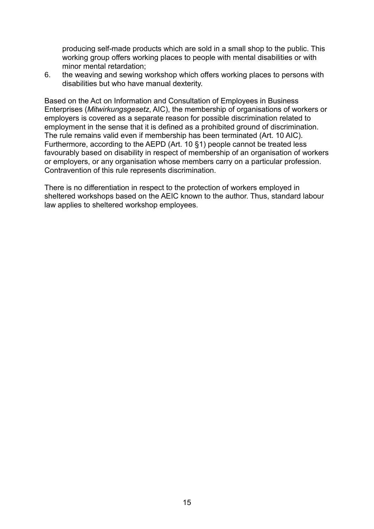producing self-made products which are sold in a small shop to the public. This working group offers working places to people with mental disabilities or with minor mental retardation;

6. the weaving and sewing workshop which offers working places to persons with disabilities but who have manual dexterity.

Based on the Act on Information and Consultation of Employees in Business Enterprises (*Mitwirkungsgesetz*, AIC), the membership of organisations of workers or employers is covered as a separate reason for possible discrimination related to employment in the sense that it is defined as a prohibited ground of discrimination. The rule remains valid even if membership has been terminated (Art. 10 AIC). Furthermore, according to the AEPD (Art. 10 §1) people cannot be treated less favourably based on disability in respect of membership of an organisation of workers or employers, or any organisation whose members carry on a particular profession. Contravention of this rule represents discrimination.

There is no differentiation in respect to the protection of workers employed in sheltered workshops based on the AEIC known to the author. Thus, standard labour law applies to sheltered workshop employees.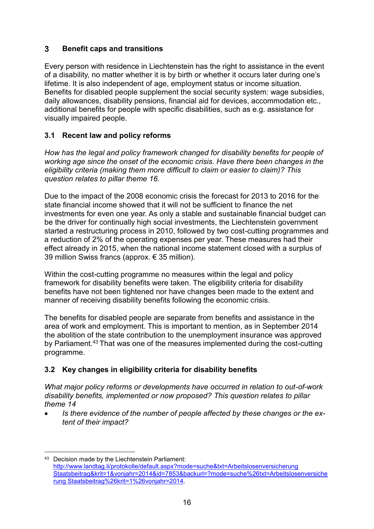#### <span id="page-15-0"></span> $3<sup>1</sup>$ **Benefit caps and transitions**

Every person with residence in Liechtenstein has the right to assistance in the event of a disability, no matter whether it is by birth or whether it occurs later during one's lifetime. It is also independent of age, employment status or income situation. Benefits for disabled people supplement the social security system: wage subsidies, daily allowances, disability pensions, financial aid for devices, accommodation etc., additional benefits for people with specific disabilities, such as e.g. assistance for visually impaired people.

### **3.1 Recent law and policy reforms**

*How has the legal and policy framework changed for disability benefits for people of working age since the onset of the economic crisis. Have there been changes in the eligibility criteria (making them more difficult to claim or easier to claim)? This question relates to pillar theme 16.*

Due to the impact of the 2008 economic crisis the forecast for 2013 to 2016 for the state financial income showed that it will not be sufficient to finance the net investments for even one year. As only a stable and sustainable financial budget can be the driver for continually high social investments, the Liechtenstein government started a restructuring process in 2010, followed by two cost-cutting programmes and a reduction of 2% of the operating expenses per year. These measures had their effect already in 2015, when the national income statement closed with a surplus of 39 million Swiss francs (approx. € 35 million).

Within the cost-cutting programme no measures within the legal and policy framework for disability benefits were taken. The eligibility criteria for disability benefits have not been tightened nor have changes been made to the extent and manner of receiving disability benefits following the economic crisis.

The benefits for disabled people are separate from benefits and assistance in the area of work and employment. This is important to mention, as in September 2014 the abolition of the state contribution to the unemployment insurance was approved by Parliament.<sup>43</sup> That was one of the measures implemented during the cost-cutting programme.

## **3.2 Key changes in eligibility criteria for disability benefits**

*What major policy reforms or developments have occurred in relation to out-of-work disability benefits, implemented or now proposed? This question relates to pillar theme 14*

 *Is there evidence of the number of people affected by these changes or the extent of their impact?*

**<sup>.</sup>** 43 Decision made by the Liechtenstein Parliament: http://www.landtag.li/protokolle/default.aspx?mode=suche&txt=Arbeitslosenversicherung Staatsbeitrag&krit=1&vonjahr=2014&id=7853&backurl=?mode=suche%26txt=Arbeitslosenversiche rung Staatsbeitrag%26krit=1%26vonjahr=2014.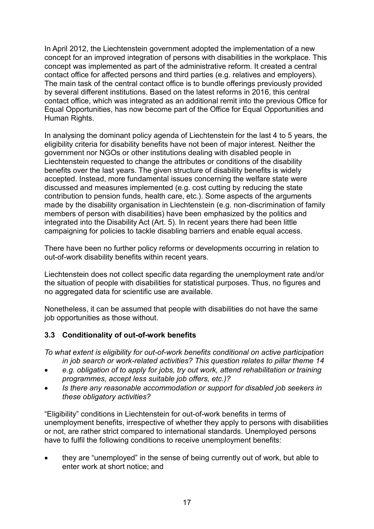In April 2012, the Liechtenstein government adopted the implementation of a new concept for an improved integration of persons with disabilities in the workplace. This concept was implemented as part of the administrative reform. It created a central contact office for affected persons and third parties (e.g. relatives and employers). The main task of the central contact office is to bundle offerings previously provided by several different institutions. Based on the latest reforms in 2016, this central contact office, which was integrated as an additional remit into the previous Office for Equal Opportunities, has now become part of the Office for Equal Opportunities and Human Rights.

In analysing the dominant policy agenda of Liechtenstein for the last 4 to 5 years, the eligibility criteria for disability benefits have not been of major interest. Neither the government nor NGOs or other institutions dealing with disabled people in Liechtenstein requested to change the attributes or conditions of the disability benefits over the last years. The given structure of disability benefits is widely accepted. Instead, more fundamental issues concerning the welfare state were discussed and measures implemented (e.g. cost cutting by reducing the state contribution to pension funds, health care, etc.). Some aspects of the arguments made by the disability organisation in Liechtenstein (e.g. non-discrimination of family members of person with disabilities) have been emphasized by the politics and integrated into the Disability Act (Art. 5). In recent years there had been little campaigning for policies to tackle disabling barriers and enable equal access.

There have been no further policy reforms or developments occurring in relation to out-of-work disability benefits within recent years.

Liechtenstein does not collect specific data regarding the unemployment rate and/or the situation of people with disabilities for statistical purposes. Thus, no figures and no aggregated data for scientific use are available.

Nonetheless, it can be assumed that people with disabilities do not have the same job opportunities as those without.

#### **3.3 Conditionality of out-of-work benefits**

*To what extent is eligibility for out-of-work benefits conditional on active participation in job search or work-related activities? This question relates to pillar theme 14*

- *e.g. obligation of to apply for jobs, try out work, attend rehabilitation or training programmes, accept less suitable job offers, etc.)?*
- *Is there any reasonable accommodation or support for disabled job seekers in these obligatory activities?*

"Eligibility" conditions in Liechtenstein for out-of-work benefits in terms of unemployment benefits, irrespective of whether they apply to persons with disabilities or not, are rather strict compared to international standards. Unemployed persons have to fulfil the following conditions to receive unemployment benefits:

 they are "unemployed" in the sense of being currently out of work, but able to enter work at short notice; and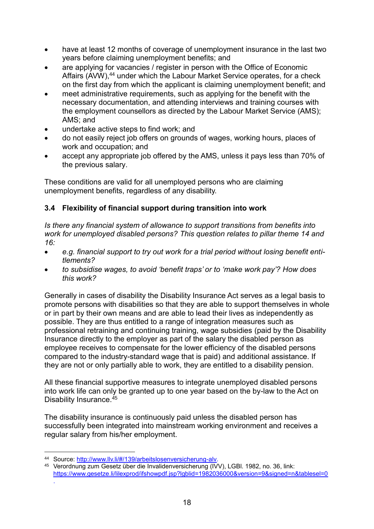- have at least 12 months of coverage of unemployment insurance in the last two years before claiming unemployment benefits; and
- are applying for vacancies / register in person with the Office of Economic Affairs (AVW),<sup>44</sup> under which the Labour Market Service operates, for a check on the first day from which the applicant is claiming unemployment benefit; and
- meet administrative requirements, such as applying for the benefit with the necessary documentation, and attending interviews and training courses with the employment counsellors as directed by the Labour Market Service (AMS); AMS; and
- undertake active steps to find work; and
- do not easily reject job offers on grounds of wages, working hours, places of work and occupation; and
- accept any appropriate job offered by the AMS, unless it pays less than 70% of the previous salary.

These conditions are valid for all unemployed persons who are claiming unemployment benefits, regardless of any disability.

## **3.4 Flexibility of financial support during transition into work**

*Is there any financial system of allowance to support transitions from benefits into work for unemployed disabled persons? This question relates to pillar theme 14 and 16:*

- *e.g. financial support to try out work for a trial period without losing benefit entitlements?*
- *to subsidise wages, to avoid 'benefit traps' or to 'make work pay'? How does this work?*

Generally in cases of disability the Disability Insurance Act serves as a legal basis to promote persons with disabilities so that they are able to support themselves in whole or in part by their own means and are able to lead their lives as independently as possible. They are thus entitled to a range of integration measures such as professional retraining and continuing training, wage subsidies (paid by the Disability Insurance directly to the employer as part of the salary the disabled person as employee receives to compensate for the lower efficiency of the disabled persons compared to the industry-standard wage that is paid) and additional assistance. If they are not or only partially able to work, they are entitled to a disability pension.

All these financial supportive measures to integrate unemployed disabled persons into work life can only be granted up to one year based on the by-law to the Act on Disability Insurance.<sup>45</sup>

The disability insurance is continuously paid unless the disabled person has successfully been integrated into mainstream working environment and receives a regular salary from his/her employment.

**<sup>.</sup>** 44 Source: http://www.llv.li/#/139/arbeitslosenversicherung-alv.

<sup>45</sup> Verordnung zum Gesetz über die Invalidenversicherung (IVV), LGBl. 1982, no. 36, link: <https://www.gesetze.li/lilexprod/ifshowpdf.jsp?lgblid=1982036000&version=9&signed=n&tablesel=0> .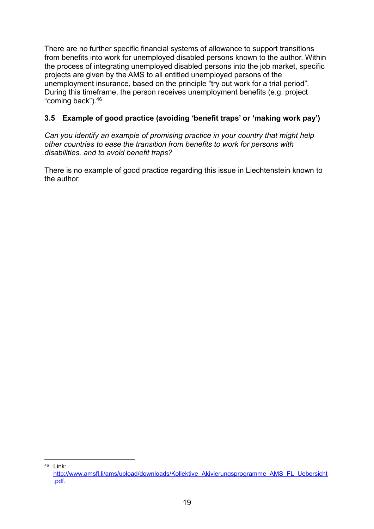There are no further specific financial systems of allowance to support transitions from benefits into work for unemployed disabled persons known to the author. Within the process of integrating unemployed disabled persons into the job market, specific projects are given by the AMS to all entitled unemployed persons of the unemployment insurance, based on the principle "try out work for a trial period". During this timeframe, the person receives unemployment benefits (e.g. project "coming back").<sup>46</sup>

## **3.5 Example of good practice (avoiding 'benefit traps' or 'making work pay')**

*Can you identify an example of promising practice in your country that might help other countries to ease the transition from benefits to work for persons with disabilities, and to avoid benefit traps?*

There is no example of good practice regarding this issue in Liechtenstein known to the author.

**.**  $46$  Link:

[http://www.amsfl.li/ams/upload/downloads/Kollektive\\_Akivierungsprogramme\\_AMS\\_FL\\_Uebersicht](http://www.amsfl.li/ams/upload/downloads/Kollektive_Akivierungsprogramme_AMS_FL_Uebersicht.pdf) [.pdf.](http://www.amsfl.li/ams/upload/downloads/Kollektive_Akivierungsprogramme_AMS_FL_Uebersicht.pdf)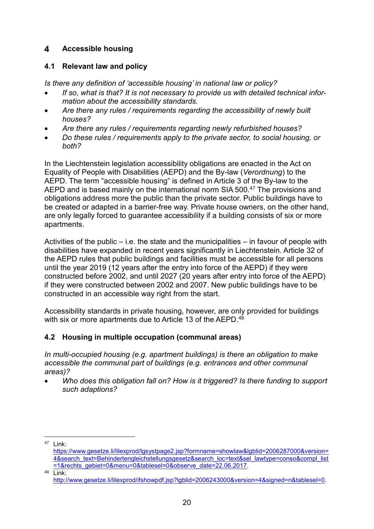#### <span id="page-19-0"></span> $\overline{\mathbf{4}}$ **Accessible housing**

#### **4.1 Relevant law and policy**

*Is there any definition of 'accessible housing' in national law or policy?*

- *If so, what is that? It is not necessary to provide us with detailed technical information about the accessibility standards.*
- *Are there any rules / requirements regarding the accessibility of newly built houses?*
- *Are there any rules / requirements regarding newly refurbished houses?*
- *Do these rules / requirements apply to the private sector, to social housing, or both?*

In the Liechtenstein legislation accessibility obligations are enacted in the Act on Equality of People with Disabilities (AEPD) and the By-law (*Verordnung*) to the AEPD. The term "accessible housing" is defined in Article 3 of the By-law to the AEPD and is based mainly on the international norm SIA 500.<sup>47</sup> The provisions and obligations address more the public than the private sector. Public buildings have to be created or adapted in a barrier-free way. Private house owners, on the other hand, are only legally forced to guarantee accessibility if a building consists of six or more apartments.

Activities of the public – i.e. the state and the municipalities – in favour of people with disabilities have expanded in recent years significantly in Liechtenstein. Article 32 of the AEPD rules that public buildings and facilities must be accessible for all persons until the year 2019 (12 years after the entry into force of the AEPD) if they were constructed before 2002, and until 2027 (20 years after entry into force of the AEPD) if they were constructed between 2002 and 2007. New public buildings have to be constructed in an accessible way right from the start.

Accessibility standards in private housing, however, are only provided for buildings with six or more apartments due to Article 13 of the AEPD.<sup>48</sup>

#### **4.2 Housing in multiple occupation (communal areas)**

*In multi-occupied housing (e.g. apartment buildings) is there an obligation to make accessible the communal part of buildings (e.g. entrances and other communal areas)?* 

 *Who does this obligation fall on? How is it triggered? Is there funding to support such adaptions?*

**.** 

<sup>47</sup> Link:

[https://www.gesetze.li/lilexprod/lgsystpage2.jsp?formname=showlaw&lgblid=2006287000&version=](https://www.gesetze.li/lilexprod/lgsystpage2.jsp?formname=showlaw&lgblid=2006287000&version=4&search_text=Behindertengleichstellungsgesetz&search_loc=text&sel_lawtype=conso&compl_list=1&rechts_gebiet=0&menu=0&tablesel=0&observe_date=22.06.2017) [4&search\\_text=Behindertengleichstellungsgesetz&search\\_loc=text&sel\\_lawtype=conso&compl\\_list](https://www.gesetze.li/lilexprod/lgsystpage2.jsp?formname=showlaw&lgblid=2006287000&version=4&search_text=Behindertengleichstellungsgesetz&search_loc=text&sel_lawtype=conso&compl_list=1&rechts_gebiet=0&menu=0&tablesel=0&observe_date=22.06.2017) [=1&rechts\\_gebiet=0&menu=0&tablesel=0&observe\\_date=22.06.2017.](https://www.gesetze.li/lilexprod/lgsystpage2.jsp?formname=showlaw&lgblid=2006287000&version=4&search_text=Behindertengleichstellungsgesetz&search_loc=text&sel_lawtype=conso&compl_list=1&rechts_gebiet=0&menu=0&tablesel=0&observe_date=22.06.2017)

 $48$  Link:

[http://www.gesetze.li/lilexprod/ifshowpdf.jsp?lgblid=2006243000&version=4&signed=n&tablesel=0.](https://www.gesetze.li/lilexprod/ifshowpdf.jsp?lgblid=2006243000&version=4&signed=n&tablesel=0)